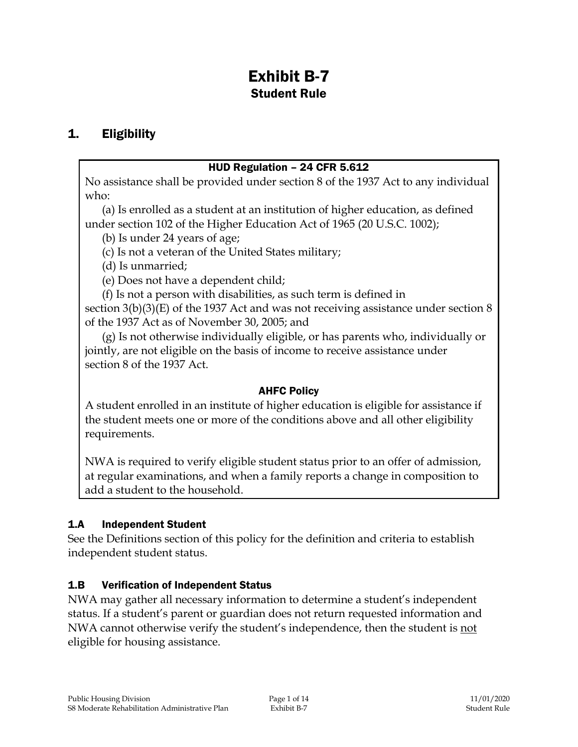# Exhibit B-7 Student Rule

# 1. Eligibility

#### HUD Regulation – 24 CFR 5.612

No assistance shall be provided under section 8 of the 1937 Act to any individual who:

(a) Is enrolled as a student at an institution of higher education, as defined under section 102 of the Higher Education Act of 1965 (20 U.S.C. 1002);

(b) Is under 24 years of age;

(c) Is not a veteran of the United States military;

(d) Is unmarried;

(e) Does not have a dependent child;

(f) Is not a person with disabilities, as such term is defined in

section 3(b)(3)(E) of the 1937 Act and was not receiving assistance under section 8 of the 1937 Act as of November 30, 2005; and

(g) Is not otherwise individually eligible, or has parents who, individually or jointly, are not eligible on the basis of income to receive assistance under section 8 of the 1937 Act.

### AHFC Policy

A student enrolled in an institute of higher education is eligible for assistance if the student meets one or more of the conditions above and all other eligibility requirements.

NWA is required to verify eligible student status prior to an offer of admission, at regular examinations, and when a family reports a change in composition to add a student to the household.

### 1.A Independent Student

See the Definitions section of this policy for the definition and criteria to establish independent student status.

### 1.B Verification of Independent Status

NWA may gather all necessary information to determine a student's independent status. If a student's parent or guardian does not return requested information and NWA cannot otherwise verify the student's independence, then the student is not eligible for housing assistance.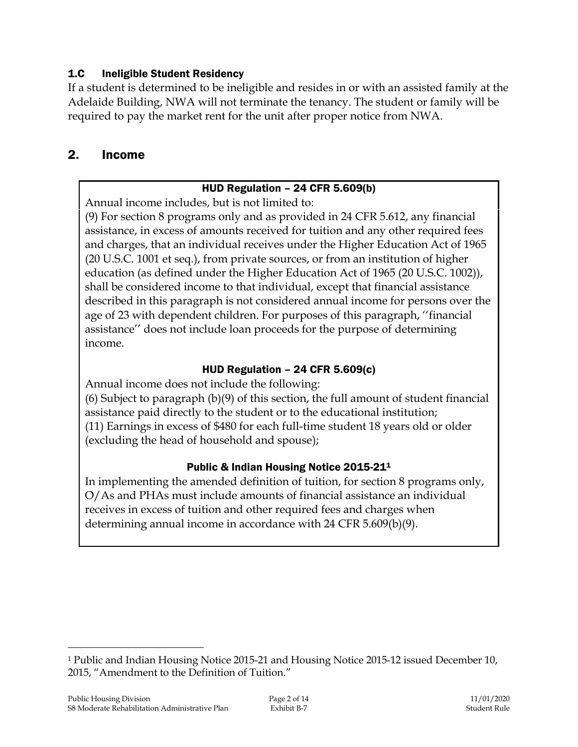### 1.C Ineligible Student Residency

If a student is determined to be ineligible and resides in or with an assisted family at the Adelaide Building, NWA will not terminate the tenancy. The student or family will be required to pay the market rent for the unit after proper notice from NWA.

# 2. Income

### HUD Regulation – 24 CFR 5.609(b)

Annual income includes, but is not limited to:

(9) For section 8 programs only and as provided in 24 CFR 5.612, any financial assistance, in excess of amounts received for tuition and any other required fees and charges, that an individual receives under the Higher Education Act of 1965 (20 U.S.C. 1001 et seq.), from private sources, or from an institution of higher education (as defined under the Higher Education Act of 1965 (20 U.S.C. 1002)), shall be considered income to that individual, except that financial assistance described in this paragraph is not considered annual income for persons over the age of 23 with dependent children. For purposes of this paragraph, ''financial assistance'' does not include loan proceeds for the purpose of determining income.

### HUD Regulation – 24 CFR 5.609(c)

Annual income does not include the following:

(6) Subject to paragraph (b)(9) of this section, the full amount of student financial assistance paid directly to the student or to the educational institution; (11) Earnings in excess of \$480 for each full-time student 18 years old or older (excluding the head of household and spouse);

### Public & Indian Housing Notice 2015-21<sup>1</sup>

In implementing the amended definition of tuition, for section 8 programs only, O/As and PHAs must include amounts of financial assistance an individual receives in excess of tuition and other required fees and charges when determining annual income in accordance with 24 CFR 5.609(b)(9).

 $\overline{a}$ 

<sup>1</sup> Public and Indian Housing Notice 2015-21 and Housing Notice 2015-12 issued December 10, 2015, "Amendment to the Definition of Tuition."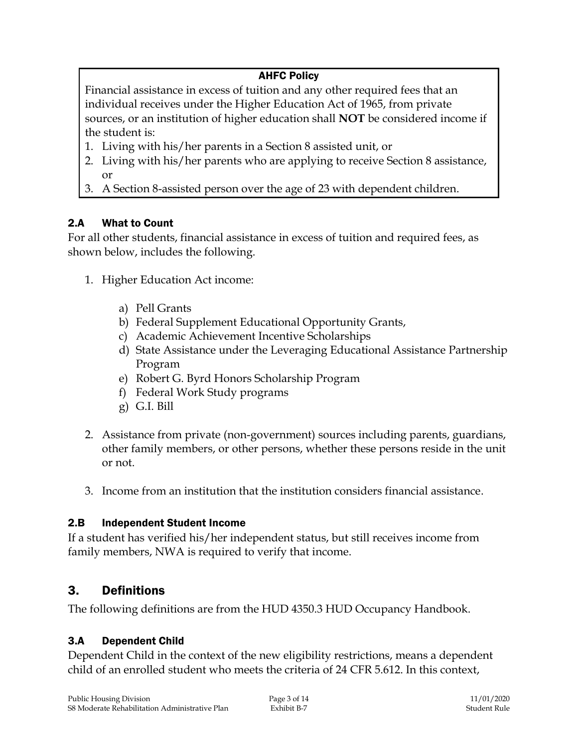## AHFC Policy

Financial assistance in excess of tuition and any other required fees that an individual receives under the Higher Education Act of 1965, from private sources, or an institution of higher education shall **NOT** be considered income if the student is:

- 1. Living with his/her parents in a Section 8 assisted unit, or
- 2. Living with his/her parents who are applying to receive Section 8 assistance, or
- 3. A Section 8-assisted person over the age of 23 with dependent children.

### 2.A What to Count

For all other students, financial assistance in excess of tuition and required fees, as shown below, includes the following.

- 1. Higher Education Act income:
	- a) Pell Grants
	- b) Federal Supplement Educational Opportunity Grants,
	- c) Academic Achievement Incentive Scholarships
	- d) State Assistance under the Leveraging Educational Assistance Partnership Program
	- e) Robert G. Byrd Honors Scholarship Program
	- f) Federal Work Study programs
	- g) G.I. Bill
- 2. Assistance from private (non-government) sources including parents, guardians, other family members, or other persons, whether these persons reside in the unit or not.
- 3. Income from an institution that the institution considers financial assistance.

### 2.B Independent Student Income

If a student has verified his/her independent status, but still receives income from family members, NWA is required to verify that income.

# 3. Definitions

The following definitions are from the HUD 4350.3 HUD Occupancy Handbook.

### 3.A Dependent Child

Dependent Child in the context of the new eligibility restrictions, means a dependent child of an enrolled student who meets the criteria of 24 CFR 5.612. In this context,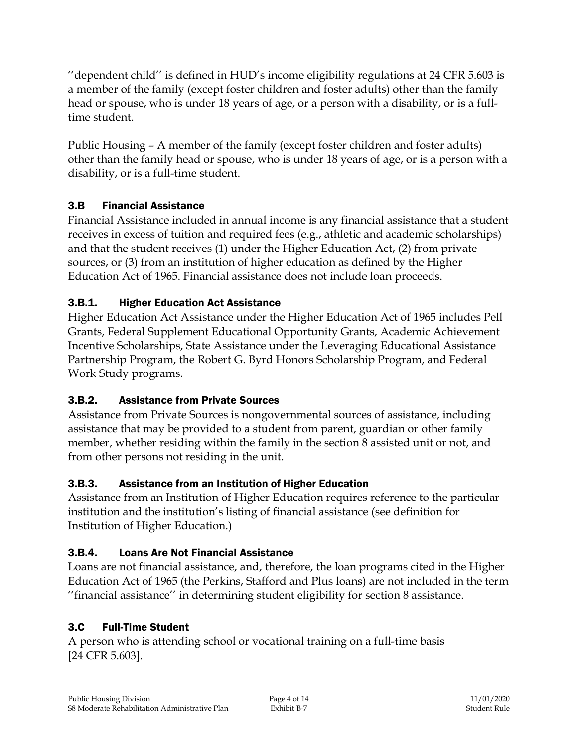''dependent child'' is defined in HUD's income eligibility regulations at 24 CFR 5.603 is a member of the family (except foster children and foster adults) other than the family head or spouse, who is under 18 years of age, or a person with a disability, or is a fulltime student.

Public Housing – A member of the family (except foster children and foster adults) other than the family head or spouse, who is under 18 years of age, or is a person with a disability, or is a full-time student.

### 3.B Financial Assistance

Financial Assistance included in annual income is any financial assistance that a student receives in excess of tuition and required fees (e.g., athletic and academic scholarships) and that the student receives (1) under the Higher Education Act, (2) from private sources, or (3) from an institution of higher education as defined by the Higher Education Act of 1965. Financial assistance does not include loan proceeds.

# 3.B.1. Higher Education Act Assistance

Higher Education Act Assistance under the Higher Education Act of 1965 includes Pell Grants, Federal Supplement Educational Opportunity Grants, Academic Achievement Incentive Scholarships, State Assistance under the Leveraging Educational Assistance Partnership Program, the Robert G. Byrd Honors Scholarship Program, and Federal Work Study programs.

### 3.B.2. Assistance from Private Sources

Assistance from Private Sources is nongovernmental sources of assistance, including assistance that may be provided to a student from parent, guardian or other family member, whether residing within the family in the section 8 assisted unit or not, and from other persons not residing in the unit.

### 3.B.3. Assistance from an Institution of Higher Education

Assistance from an Institution of Higher Education requires reference to the particular institution and the institution's listing of financial assistance (see definition for Institution of Higher Education.)

### 3.B.4. Loans Are Not Financial Assistance

Loans are not financial assistance, and, therefore, the loan programs cited in the Higher Education Act of 1965 (the Perkins, Stafford and Plus loans) are not included in the term ''financial assistance'' in determining student eligibility for section 8 assistance.

# 3.C Full-Time Student

A person who is attending school or vocational training on a full-time basis [24 CFR 5.603].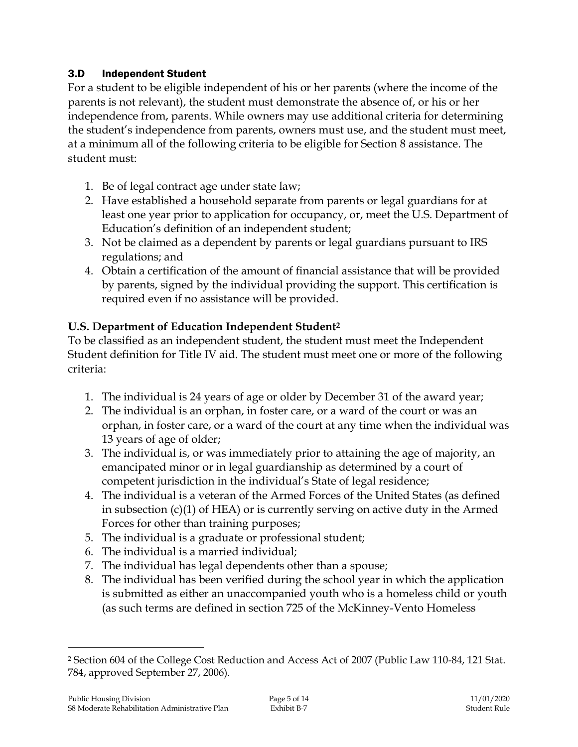### 3.D Independent Student

For a student to be eligible independent of his or her parents (where the income of the parents is not relevant), the student must demonstrate the absence of, or his or her independence from, parents. While owners may use additional criteria for determining the student's independence from parents, owners must use, and the student must meet, at a minimum all of the following criteria to be eligible for Section 8 assistance. The student must:

- 1. Be of legal contract age under state law;
- 2. Have established a household separate from parents or legal guardians for at least one year prior to application for occupancy, or, meet the U.S. Department of Education's definition of an independent student;
- 3. Not be claimed as a dependent by parents or legal guardians pursuant to IRS regulations; and
- 4. Obtain a certification of the amount of financial assistance that will be provided by parents, signed by the individual providing the support. This certification is required even if no assistance will be provided.

# **U.S. Department of Education Independent Student<sup>2</sup>**

To be classified as an independent student, the student must meet the Independent Student definition for Title IV aid. The student must meet one or more of the following criteria:

- 1. The individual is 24 years of age or older by December 31 of the award year;
- 2. The individual is an orphan, in foster care, or a ward of the court or was an orphan, in foster care, or a ward of the court at any time when the individual was 13 years of age of older;
- 3. The individual is, or was immediately prior to attaining the age of majority, an emancipated minor or in legal guardianship as determined by a court of competent jurisdiction in the individual's State of legal residence;
- 4. The individual is a veteran of the Armed Forces of the United States (as defined in subsection (c)(1) of HEA) or is currently serving on active duty in the Armed Forces for other than training purposes;
- 5. The individual is a graduate or professional student;
- 6. The individual is a married individual;
- 7. The individual has legal dependents other than a spouse;
- 8. The individual has been verified during the school year in which the application is submitted as either an unaccompanied youth who is a homeless child or youth (as such terms are defined in section 725 of the McKinney-Vento Homeless

 $\overline{a}$ 

<sup>2</sup> Section 604 of the College Cost Reduction and Access Act of 2007 (Public Law 110-84, 121 Stat. 784, approved September 27, 2006).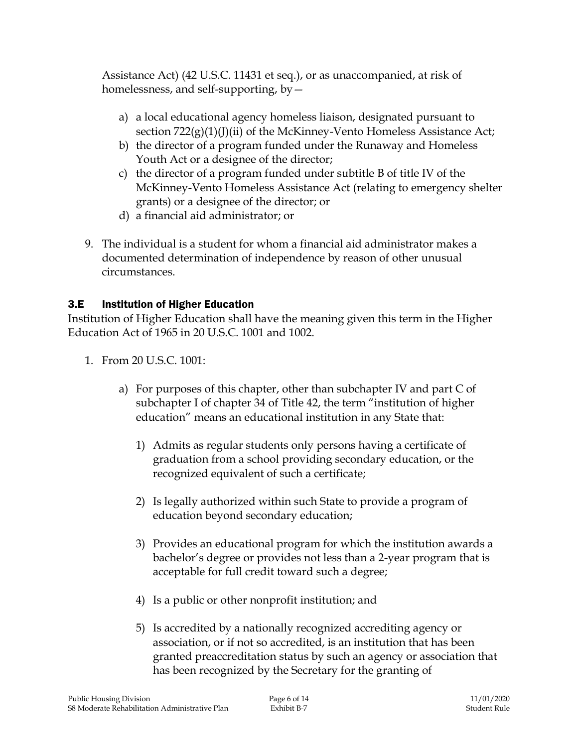Assistance Act) (42 U.S.C. 11431 et seq.), or as unaccompanied, at risk of homelessness, and self-supporting, by—

- a) a local educational agency homeless liaison, designated pursuant to section  $722(g)(1)(J)(ii)$  of the McKinney-Vento Homeless Assistance Act;
- b) the director of a program funded under the Runaway and Homeless Youth Act or a designee of the director;
- c) the director of a program funded under subtitle B of title IV of the McKinney-Vento Homeless Assistance Act (relating to emergency shelter grants) or a designee of the director; or
- d) a financial aid administrator; or
- 9. The individual is a student for whom a financial aid administrator makes a documented determination of independence by reason of other unusual circumstances.

# 3.E Institution of Higher Education

Institution of Higher Education shall have the meaning given this term in the Higher Education Act of 1965 in 20 U.S.C. 1001 and 1002.

- 1. From 20 U.S.C. 1001:
	- a) For purposes of this chapter, other than subchapter IV and part C of subchapter I of chapter 34 of Title 42, the term "institution of higher education" means an educational institution in any State that:
		- 1) Admits as regular students only persons having a certificate of graduation from a school providing secondary education, or the recognized equivalent of such a certificate;
		- 2) Is legally authorized within such State to provide a program of education beyond secondary education;
		- 3) Provides an educational program for which the institution awards a bachelor's degree or provides not less than a 2-year program that is acceptable for full credit toward such a degree;
		- 4) Is a public or other nonprofit institution; and
		- 5) Is accredited by a nationally recognized accrediting agency or association, or if not so accredited, is an institution that has been granted preaccreditation status by such an agency or association that has been recognized by the Secretary for the granting of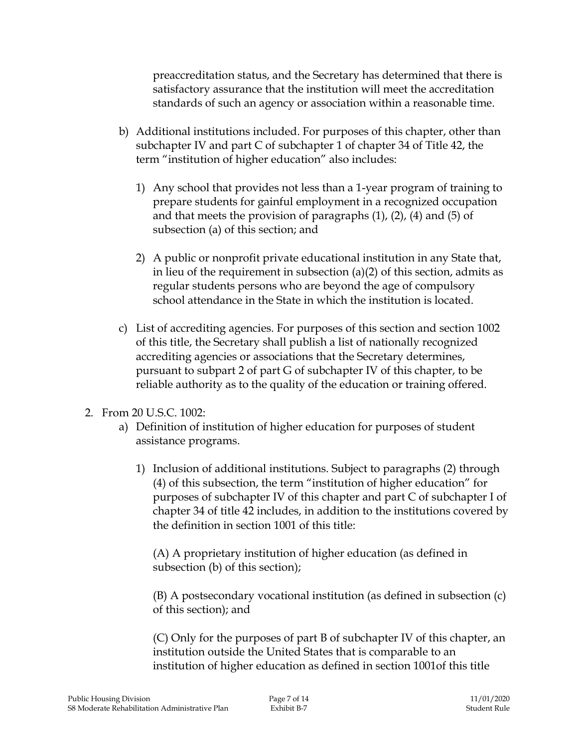preaccreditation status, and the Secretary has determined that there is satisfactory assurance that the institution will meet the accreditation standards of such an agency or association within a reasonable time.

- b) Additional institutions included. For purposes of this chapter, other than subchapter IV and part C of subchapter 1 of chapter 34 of Title 42, the term "institution of higher education" also includes:
	- 1) Any school that provides not less than a 1-year program of training to prepare students for gainful employment in a recognized occupation and that meets the provision of paragraphs (1), (2), (4) and (5) of subsection (a) of this section; and
	- 2) A public or nonprofit private educational institution in any State that, in lieu of the requirement in subsection (a)(2) of this section, admits as regular students persons who are beyond the age of compulsory school attendance in the State in which the institution is located.
- c) List of accrediting agencies. For purposes of this section and section 1002 of this title, the Secretary shall publish a list of nationally recognized accrediting agencies or associations that the Secretary determines, pursuant to subpart 2 of part G of subchapter IV of this chapter, to be reliable authority as to the quality of the education or training offered.
- 2. From 20 U.S.C. 1002:
	- a) Definition of institution of higher education for purposes of student assistance programs.
		- 1) Inclusion of additional institutions. Subject to paragraphs (2) through (4) of this subsection, the term "institution of higher education" for purposes of subchapter IV of this chapter and part C of subchapter I of chapter 34 of title 42 includes, in addition to the institutions covered by the definition in section 1001 of this title:

(A) A proprietary institution of higher education (as defined in subsection (b) of this section);

(B) A postsecondary vocational institution (as defined in subsection (c) of this section); and

(C) Only for the purposes of part B of subchapter IV of this chapter, an institution outside the United States that is comparable to an institution of higher education as defined in section 1001of this title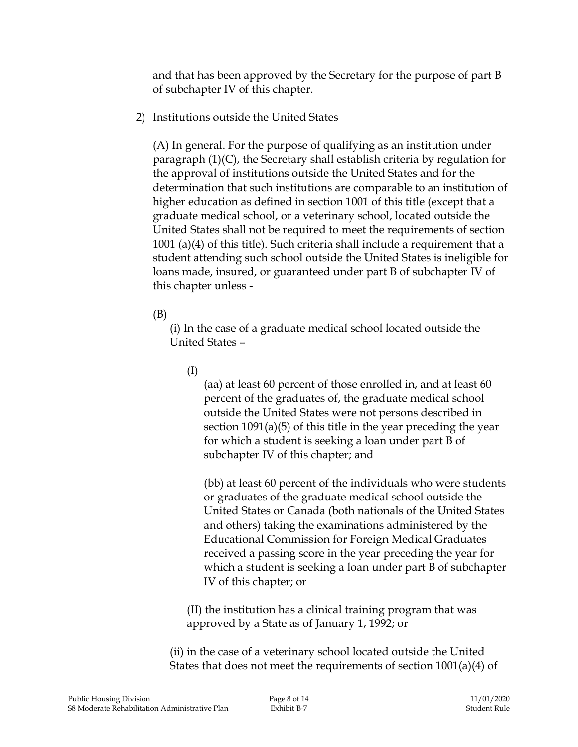and that has been approved by the Secretary for the purpose of part B of subchapter IV of this chapter.

2) Institutions outside the United States

(A) In general. For the purpose of qualifying as an institution under paragraph (1)(C), the Secretary shall establish criteria by regulation for the approval of institutions outside the United States and for the determination that such institutions are comparable to an institution of higher education as defined in section 1001 of this title (except that a graduate medical school, or a veterinary school, located outside the United States shall not be required to meet the requirements of section 1001 (a)(4) of this title). Such criteria shall include a requirement that a student attending such school outside the United States is ineligible for loans made, insured, or guaranteed under part B of subchapter IV of this chapter unless -

(B)

(i) In the case of a graduate medical school located outside the United States –

(I)

(aa) at least 60 percent of those enrolled in, and at least 60 percent of the graduates of, the graduate medical school outside the United States were not persons described in section 1091(a)(5) of this title in the year preceding the year for which a student is seeking a loan under part B of subchapter IV of this chapter; and

(bb) at least 60 percent of the individuals who were students or graduates of the graduate medical school outside the United States or Canada (both nationals of the United States and others) taking the examinations administered by the Educational Commission for Foreign Medical Graduates received a passing score in the year preceding the year for which a student is seeking a loan under part B of subchapter IV of this chapter; or

(II) the institution has a clinical training program that was approved by a State as of January 1, 1992; or

(ii) in the case of a veterinary school located outside the United States that does not meet the requirements of section 1001(a)(4) of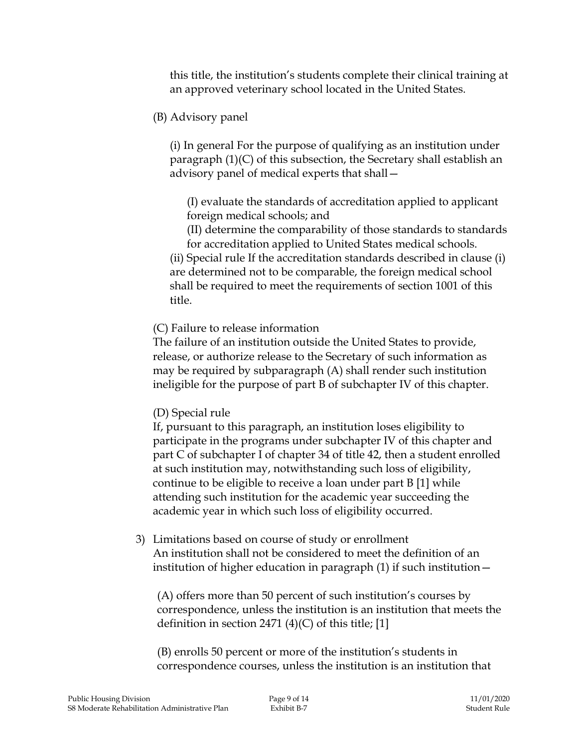this title, the institution's students complete their clinical training at an approved veterinary school located in the United States.

(B) Advisory panel

(i) In general For the purpose of qualifying as an institution under paragraph (1)(C) of this subsection, the Secretary shall establish an advisory panel of medical experts that shall—

(I) evaluate the standards of accreditation applied to applicant foreign medical schools; and

(II) determine the comparability of those standards to standards for accreditation applied to United States medical schools.

(ii) Special rule If the accreditation standards described in clause (i) are determined not to be comparable, the foreign medical school shall be required to meet the requirements of section 1001 of this title.

(C) Failure to release information

The failure of an institution outside the United States to provide, release, or authorize release to the Secretary of such information as may be required by subparagraph (A) shall render such institution ineligible for the purpose of part B of subchapter IV of this chapter.

### (D) Special rule

If, pursuant to this paragraph, an institution loses eligibility to participate in the programs under subchapter IV of this chapter and part C of subchapter I of chapter 34 of title 42, then a student enrolled at such institution may, notwithstanding such loss of eligibility, continue to be eligible to receive a loan under part B [1] while attending such institution for the academic year succeeding the academic year in which such loss of eligibility occurred.

3) Limitations based on course of study or enrollment An institution shall not be considered to meet the definition of an institution of higher education in paragraph (1) if such institution—

(A) offers more than 50 percent of such institution's courses by correspondence, unless the institution is an institution that meets the definition in section 2471 (4)(C) of this title; [1]

(B) enrolls 50 percent or more of the institution's students in correspondence courses, unless the institution is an institution that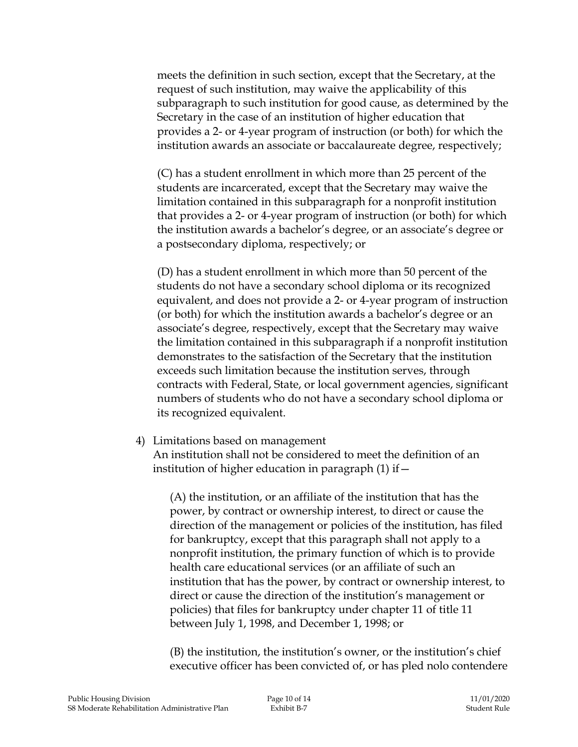meets the definition in such section, except that the Secretary, at the request of such institution, may waive the applicability of this subparagraph to such institution for good cause, as determined by the Secretary in the case of an institution of higher education that provides a 2- or 4-year program of instruction (or both) for which the institution awards an associate or baccalaureate degree, respectively;

(C) has a student enrollment in which more than 25 percent of the students are incarcerated, except that the Secretary may waive the limitation contained in this subparagraph for a nonprofit institution that provides a 2- or 4-year program of instruction (or both) for which the institution awards a bachelor's degree, or an associate's degree or a postsecondary diploma, respectively; or

(D) has a student enrollment in which more than 50 percent of the students do not have a secondary school diploma or its recognized equivalent, and does not provide a 2- or 4-year program of instruction (or both) for which the institution awards a bachelor's degree or an associate's degree, respectively, except that the Secretary may waive the limitation contained in this subparagraph if a nonprofit institution demonstrates to the satisfaction of the Secretary that the institution exceeds such limitation because the institution serves, through contracts with Federal, State, or local government agencies, significant numbers of students who do not have a secondary school diploma or its recognized equivalent.

#### 4) Limitations based on management

An institution shall not be considered to meet the definition of an institution of higher education in paragraph  $(1)$  if  $-$ 

(A) the institution, or an affiliate of the institution that has the power, by contract or ownership interest, to direct or cause the direction of the management or policies of the institution, has filed for bankruptcy, except that this paragraph shall not apply to a nonprofit institution, the primary function of which is to provide health care educational services (or an affiliate of such an institution that has the power, by contract or ownership interest, to direct or cause the direction of the institution's management or policies) that files for bankruptcy under chapter 11 of title 11 between July 1, 1998, and December 1, 1998; or

(B) the institution, the institution's owner, or the institution's chief executive officer has been convicted of, or has pled nolo contendere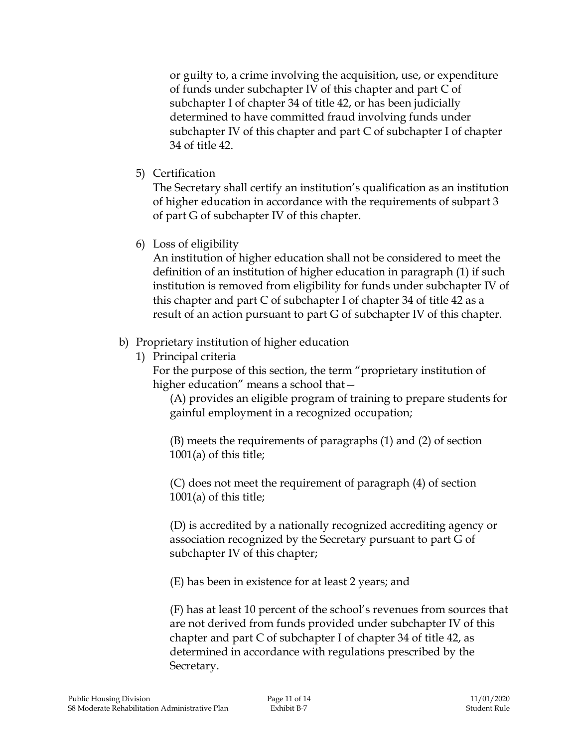or guilty to, a crime involving the acquisition, use, or expenditure of funds under subchapter IV of this chapter and part C of subchapter I of chapter 34 of title 42, or has been judicially determined to have committed fraud involving funds under subchapter IV of this chapter and part C of subchapter I of chapter 34 of title 42.

5) Certification

The Secretary shall certify an institution's qualification as an institution of higher education in accordance with the requirements of subpart 3 of part G of subchapter IV of this chapter.

6) Loss of eligibility

An institution of higher education shall not be considered to meet the definition of an institution of higher education in paragraph (1) if such institution is removed from eligibility for funds under subchapter IV of this chapter and part C of subchapter I of chapter 34 of title 42 as a result of an action pursuant to part G of subchapter IV of this chapter.

# b) Proprietary institution of higher education

1) Principal criteria

For the purpose of this section, the term "proprietary institution of higher education" means a school that—

(A) provides an eligible program of training to prepare students for gainful employment in a recognized occupation;

(B) meets the requirements of paragraphs (1) and (2) of section 1001(a) of this title;

(C) does not meet the requirement of paragraph (4) of section 1001(a) of this title;

(D) is accredited by a nationally recognized accrediting agency or association recognized by the Secretary pursuant to part G of subchapter IV of this chapter;

(E) has been in existence for at least 2 years; and

(F) has at least 10 percent of the school's revenues from sources that are not derived from funds provided under subchapter IV of this chapter and part C of subchapter I of chapter 34 of title 42, as determined in accordance with regulations prescribed by the Secretary.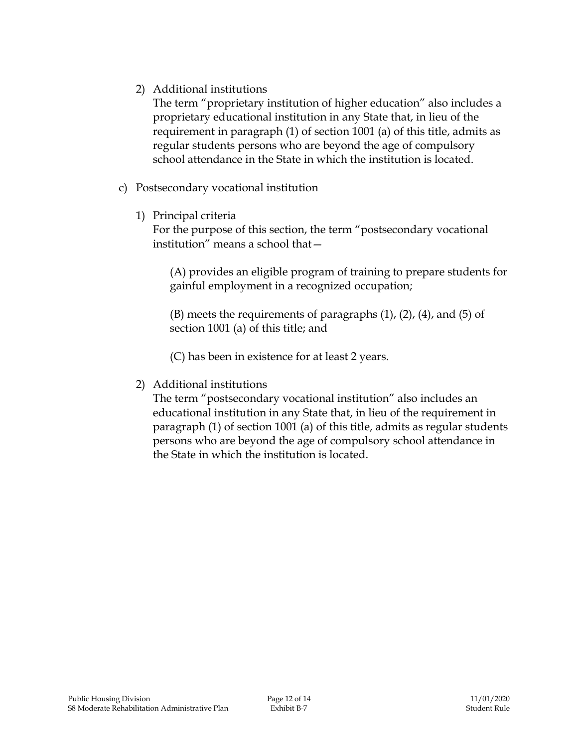2) Additional institutions

The term "proprietary institution of higher education" also includes a proprietary educational institution in any State that, in lieu of the requirement in paragraph (1) of section 1001 (a) of this title, admits as regular students persons who are beyond the age of compulsory school attendance in the State in which the institution is located.

- c) Postsecondary vocational institution
	- 1) Principal criteria

For the purpose of this section, the term "postsecondary vocational institution" means a school that—

(A) provides an eligible program of training to prepare students for gainful employment in a recognized occupation;

 $(B)$  meets the requirements of paragraphs  $(1)$ ,  $(2)$ ,  $(4)$ , and  $(5)$  of section 1001 (a) of this title; and

(C) has been in existence for at least 2 years.

2) Additional institutions

The term "postsecondary vocational institution" also includes an educational institution in any State that, in lieu of the requirement in paragraph (1) of section 1001 (a) of this title, admits as regular students persons who are beyond the age of compulsory school attendance in the State in which the institution is located.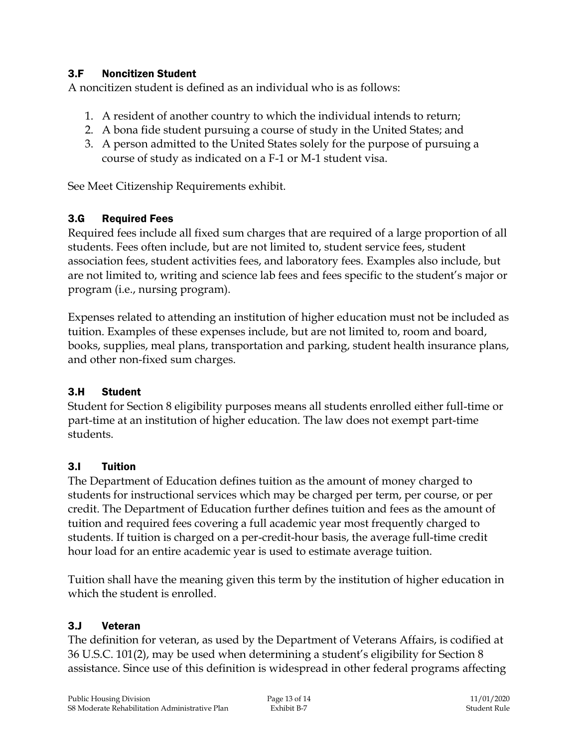### 3.F Noncitizen Student

A noncitizen student is defined as an individual who is as follows:

- 1. A resident of another country to which the individual intends to return;
- 2. A bona fide student pursuing a course of study in the United States; and
- 3. A person admitted to the United States solely for the purpose of pursuing a course of study as indicated on a F-1 or M-1 student visa.

See Meet Citizenship Requirements exhibit.

### 3.G Required Fees

Required fees include all fixed sum charges that are required of a large proportion of all students. Fees often include, but are not limited to, student service fees, student association fees, student activities fees, and laboratory fees. Examples also include, but are not limited to, writing and science lab fees and fees specific to the student's major or program (i.e., nursing program).

Expenses related to attending an institution of higher education must not be included as tuition. Examples of these expenses include, but are not limited to, room and board, books, supplies, meal plans, transportation and parking, student health insurance plans, and other non-fixed sum charges.

### 3.H Student

Student for Section 8 eligibility purposes means all students enrolled either full-time or part-time at an institution of higher education. The law does not exempt part-time students.

### 3.I Tuition

The Department of Education defines tuition as the amount of money charged to students for instructional services which may be charged per term, per course, or per credit. The Department of Education further defines tuition and fees as the amount of tuition and required fees covering a full academic year most frequently charged to students. If tuition is charged on a per-credit-hour basis, the average full-time credit hour load for an entire academic year is used to estimate average tuition.

Tuition shall have the meaning given this term by the institution of higher education in which the student is enrolled.

### 3.J Veteran

The definition for veteran, as used by the Department of Veterans Affairs, is codified at 36 U.S.C. 101(2), may be used when determining a student's eligibility for Section 8 assistance. Since use of this definition is widespread in other federal programs affecting